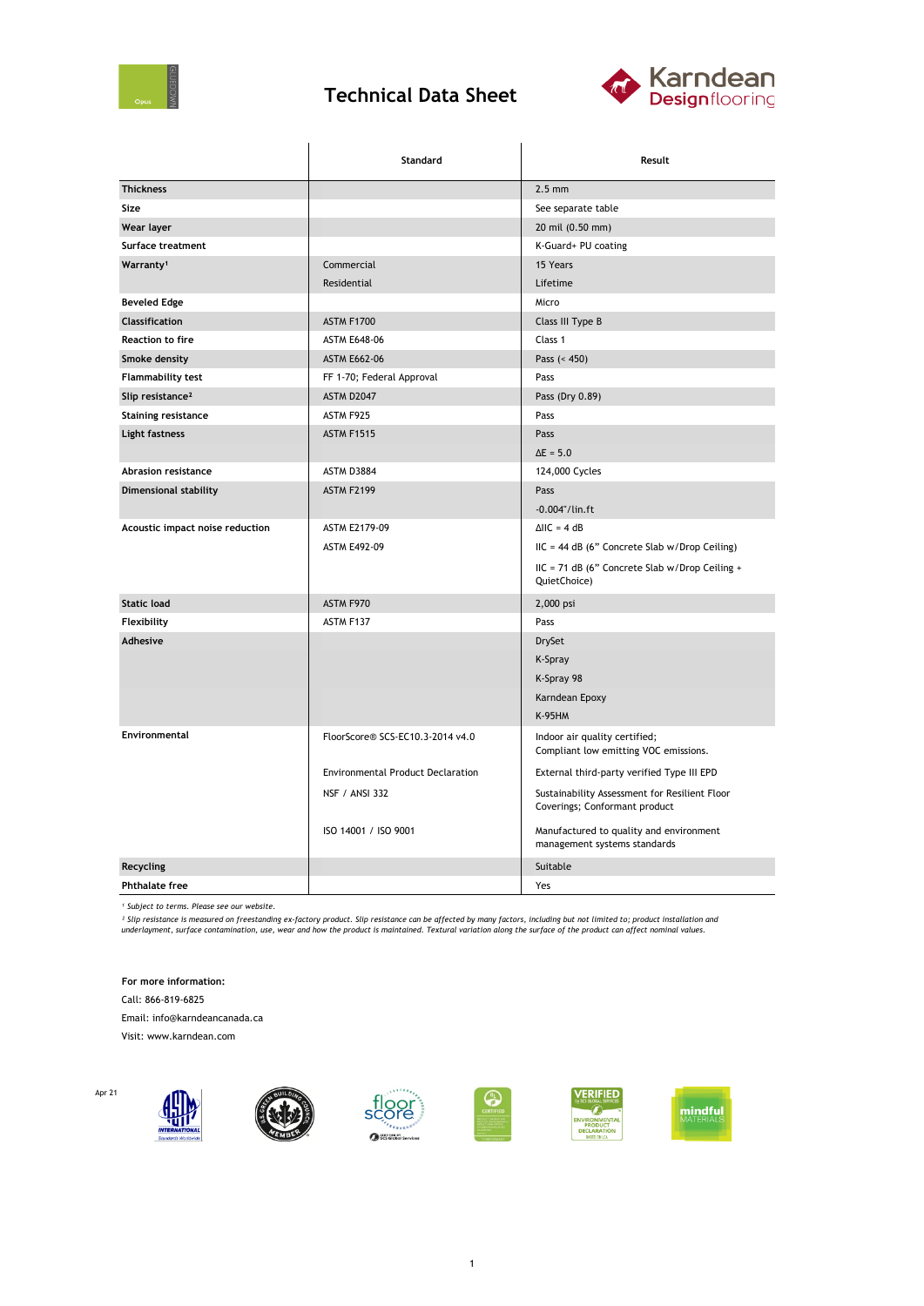

## **Technical Data Sheet**



|                                 | Standard                                 | Result                                                                         |  |
|---------------------------------|------------------------------------------|--------------------------------------------------------------------------------|--|
| <b>Thickness</b>                |                                          | $2.5 \text{ mm}$                                                               |  |
| Size                            |                                          | See separate table                                                             |  |
| Wear layer                      |                                          | 20 mil (0.50 mm)                                                               |  |
| Surface treatment               |                                          | K-Guard+ PU coating                                                            |  |
| Warranty <sup>1</sup>           | Commercial                               | 15 Years                                                                       |  |
|                                 | Residential                              | Lifetime                                                                       |  |
| <b>Beveled Edge</b>             |                                          | Micro                                                                          |  |
| Classification                  | <b>ASTM F1700</b>                        | Class III Type B                                                               |  |
| <b>Reaction to fire</b>         | <b>ASTM E648-06</b>                      | Class 1                                                                        |  |
| Smoke density                   | <b>ASTM E662-06</b>                      | Pass $(< 450)$                                                                 |  |
| <b>Flammability test</b>        | FF 1-70; Federal Approval                | Pass                                                                           |  |
| Slip resistance <sup>2</sup>    | ASTM D2047                               | Pass (Dry 0.89)                                                                |  |
| <b>Staining resistance</b>      | ASTM F925                                | Pass                                                                           |  |
| Light fastness                  | <b>ASTM F1515</b>                        | Pass                                                                           |  |
|                                 |                                          | $\Delta E = 5.0$                                                               |  |
| Abrasion resistance             | ASTM D3884                               | 124,000 Cycles                                                                 |  |
| Dimensional stability           | <b>ASTM F2199</b>                        | Pass                                                                           |  |
|                                 |                                          | $-0.004$ "/lin.ft                                                              |  |
| Acoustic impact noise reduction | ASTM E2179-09                            | $\triangle$ IIC = 4 dB                                                         |  |
|                                 | <b>ASTM E492-09</b>                      | IIC = 44 dB (6" Concrete Slab w/Drop Ceiling)                                  |  |
|                                 |                                          | IIC = 71 dB (6" Concrete Slab w/Drop Ceiling +<br>QuietChoice)                 |  |
| <b>Static load</b>              | ASTM F970                                | 2,000 psi                                                                      |  |
| Flexibility                     | ASTM F137                                | Pass                                                                           |  |
| Adhesive                        |                                          | <b>DrySet</b>                                                                  |  |
|                                 |                                          | K-Spray                                                                        |  |
|                                 |                                          | K-Spray 98                                                                     |  |
|                                 |                                          | Karndean Epoxy                                                                 |  |
|                                 |                                          | <b>K-95HM</b>                                                                  |  |
| Environmental                   | FloorScore® SCS-EC10.3-2014 v4.0         | Indoor air quality certified;<br>Compliant low emitting VOC emissions.         |  |
|                                 | <b>Environmental Product Declaration</b> | External third-party verified Type III EPD                                     |  |
|                                 | <b>NSF / ANSI 332</b>                    | Sustainability Assessment for Resilient Floor<br>Coverings; Conformant product |  |
|                                 | ISO 14001 / ISO 9001                     | Manufactured to quality and environment<br>management systems standards        |  |
| Recycling                       |                                          | Suitable                                                                       |  |
| <b>Phthalate free</b>           |                                          | Yes                                                                            |  |

*¹ Subject to terms. Please see our website.*

<sup>2</sup> Slip resistance is measured on freestanding ex-factory product. Slip resistance can be affected by many factors, including but not limited to; product installation and<br>underlayment, surface contamination, use, wear and

**For more information:**

Call: 866-819-6825

Apr 21

Email: info@karndeancanada.ca

Visit: www.karndean.com